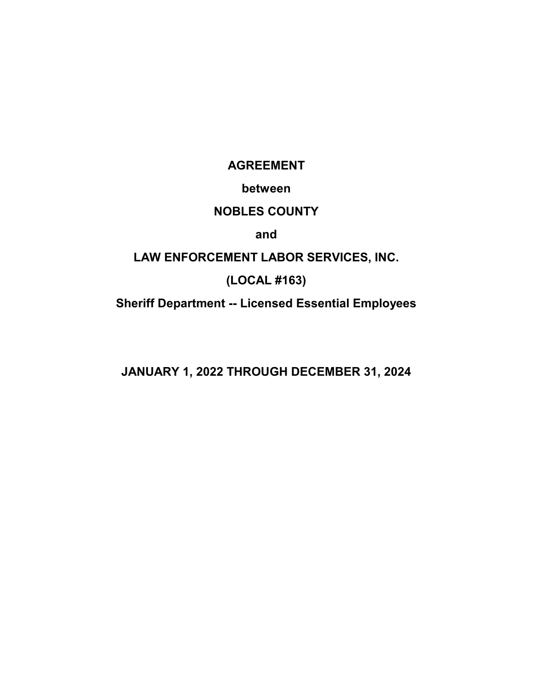**AGREEMENT**

# **between**

# **NOBLES COUNTY**

# **and**

# **LAW ENFORCEMENT LABOR SERVICES, INC.**

# **(LOCAL #163)**

**Sheriff Department -- Licensed Essential Employees**

**JANUARY 1, 2022 THROUGH DECEMBER 31, 2024**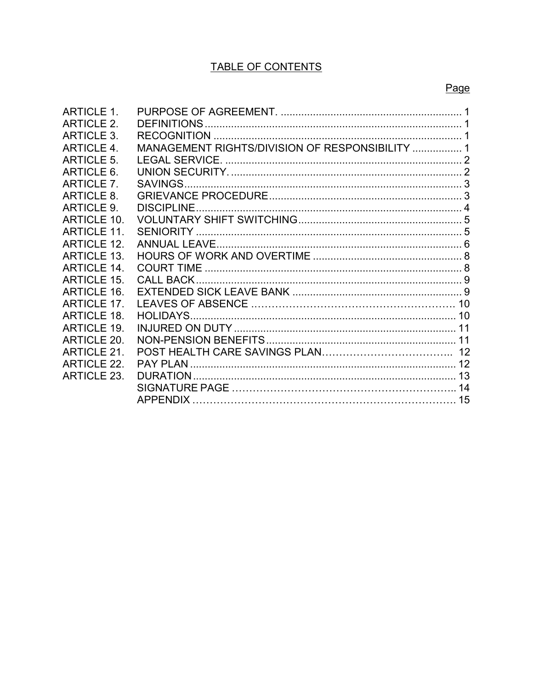# TABLE OF CONTENTS

| <b>ARTICLE 1.</b>  |                                                 |  |
|--------------------|-------------------------------------------------|--|
| <b>ARTICLE 2.</b>  |                                                 |  |
| <b>ARTICLE 3.</b>  |                                                 |  |
| <b>ARTICLE 4.</b>  | MANAGEMENT RIGHTS/DIVISION OF RESPONSIBILITY  1 |  |
| <b>ARTICLE 5.</b>  |                                                 |  |
| ARTICLE 6.         |                                                 |  |
| <b>ARTICLE 7.</b>  |                                                 |  |
| <b>ARTICLE 8.</b>  |                                                 |  |
| <b>ARTICLE 9.</b>  |                                                 |  |
| ARTICI F 10        |                                                 |  |
| ARTICLE 11.        |                                                 |  |
| ARTICI F 12        |                                                 |  |
| <b>ARTICLE 13.</b> |                                                 |  |
| ARTICI F 14        |                                                 |  |
| <b>ARTICLE 15.</b> |                                                 |  |
| <b>ARTICLE 16.</b> |                                                 |  |
| <b>ARTICLE 17.</b> |                                                 |  |
| <b>ARTICLE 18.</b> |                                                 |  |
| <b>ARTICLE 19.</b> |                                                 |  |
| <b>ARTICLE 20.</b> |                                                 |  |
| <b>ARTICLE 21.</b> |                                                 |  |
| <b>ARTICLE 22.</b> |                                                 |  |
| <b>ARTICLE 23.</b> |                                                 |  |
|                    |                                                 |  |
|                    |                                                 |  |
|                    |                                                 |  |

# Page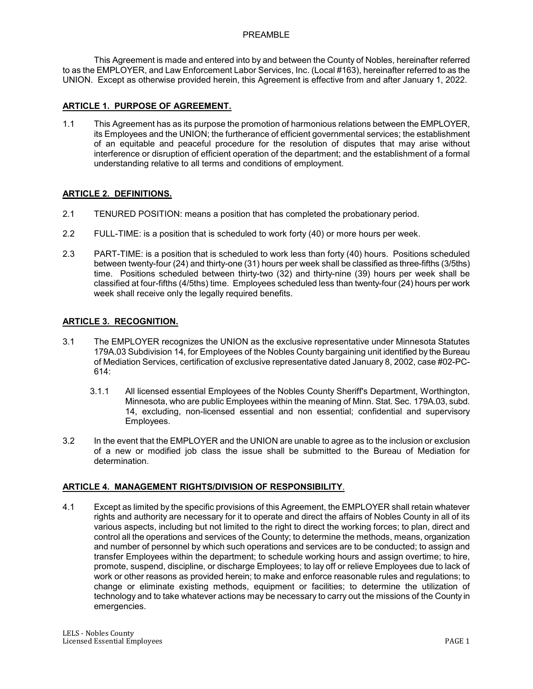### PREAMBLE

 This Agreement is made and entered into by and between the County of Nobles, hereinafter referred to as the EMPLOYER, and Law Enforcement Labor Services, Inc. (Local #163), hereinafter referred to as the UNION. Except as otherwise provided herein, this Agreement is effective from and after January 1, 2022.

# **ARTICLE 1. PURPOSE OF AGREEMENT.**

1.1 This Agreement has as its purpose the promotion of harmonious relations between the EMPLOYER, its Employees and the UNION; the furtherance of efficient governmental services; the establishment of an equitable and peaceful procedure for the resolution of disputes that may arise without interference or disruption of efficient operation of the department; and the establishment of a formal understanding relative to all terms and conditions of employment.

# **ARTICLE 2. DEFINITIONS.**

- 2.1 TENURED POSITION: means a position that has completed the probationary period.
- 2.2 FULL-TIME: is a position that is scheduled to work forty (40) or more hours per week.
- 2.3 PART-TIME: is a position that is scheduled to work less than forty (40) hours. Positions scheduled between twenty-four (24) and thirty-one (31) hours per week shall be classified as three-fifths (3/5ths) time. Positions scheduled between thirty-two (32) and thirty-nine (39) hours per week shall be classified at four-fifths (4/5ths) time. Employees scheduled less than twenty-four (24) hours per work week shall receive only the legally required benefits.

# **ARTICLE 3. RECOGNITION.**

- 3.1 The EMPLOYER recognizes the UNION as the exclusive representative under Minnesota Statutes 179A.03 Subdivision 14, for Employees of the Nobles County bargaining unit identified by the Bureau of Mediation Services, certification of exclusive representative dated January 8, 2002, case #02-PC-614:
	- 3.1.1 All licensed essential Employees of the Nobles County Sheriff's Department, Worthington, Minnesota, who are public Employees within the meaning of Minn. Stat. Sec. 179A.03, subd. 14, excluding, non-licensed essential and non essential; confidential and supervisory Employees.
- 3.2 In the event that the EMPLOYER and the UNION are unable to agree as to the inclusion or exclusion of a new or modified job class the issue shall be submitted to the Bureau of Mediation for determination.

### **ARTICLE 4. MANAGEMENT RIGHTS/DIVISION OF RESPONSIBILITY**.

4.1 Except as limited by the specific provisions of this Agreement, the EMPLOYER shall retain whatever rights and authority are necessary for it to operate and direct the affairs of Nobles County in all of its various aspects, including but not limited to the right to direct the working forces; to plan, direct and control all the operations and services of the County; to determine the methods, means, organization and number of personnel by which such operations and services are to be conducted; to assign and transfer Employees within the department; to schedule working hours and assign overtime; to hire, promote, suspend, discipline, or discharge Employees; to lay off or relieve Employees due to lack of work or other reasons as provided herein; to make and enforce reasonable rules and regulations; to change or eliminate existing methods, equipment or facilities; to determine the utilization of technology and to take whatever actions may be necessary to carry out the missions of the County in emergencies.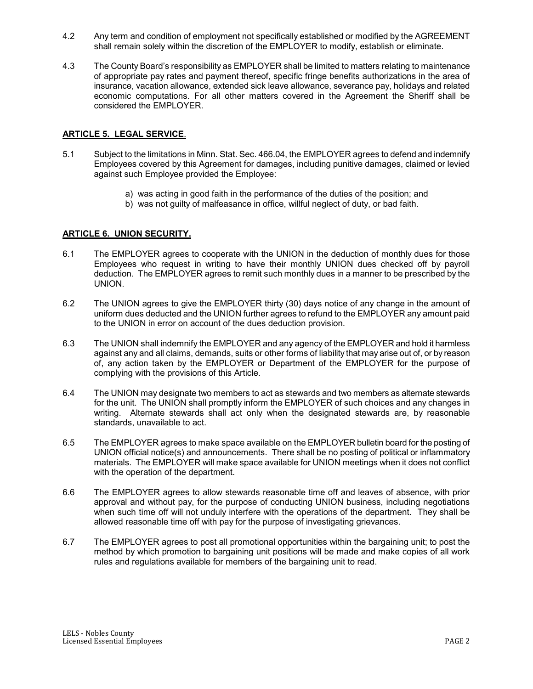- 4.2 Any term and condition of employment not specifically established or modified by the AGREEMENT shall remain solely within the discretion of the EMPLOYER to modify, establish or eliminate.
- 4.3 The County Board's responsibility as EMPLOYER shall be limited to matters relating to maintenance of appropriate pay rates and payment thereof, specific fringe benefits authorizations in the area of insurance, vacation allowance, extended sick leave allowance, severance pay, holidays and related economic computations. For all other matters covered in the Agreement the Sheriff shall be considered the EMPLOYER.

# **ARTICLE 5. LEGAL SERVICE**.

- 5.1 Subject to the limitations in Minn. Stat. Sec. 466.04, the EMPLOYER agrees to defend and indemnify Employees covered by this Agreement for damages, including punitive damages, claimed or levied against such Employee provided the Employee:
	- a) was acting in good faith in the performance of the duties of the position; and
	- b) was not guilty of malfeasance in office, willful neglect of duty, or bad faith.

# **ARTICLE 6. UNION SECURITY.**

- 6.1 The EMPLOYER agrees to cooperate with the UNION in the deduction of monthly dues for those Employees who request in writing to have their monthly UNION dues checked off by payroll deduction. The EMPLOYER agrees to remit such monthly dues in a manner to be prescribed by the UNION.
- 6.2 The UNION agrees to give the EMPLOYER thirty (30) days notice of any change in the amount of uniform dues deducted and the UNION further agrees to refund to the EMPLOYER any amount paid to the UNION in error on account of the dues deduction provision.
- 6.3 The UNION shall indemnify the EMPLOYER and any agency of the EMPLOYER and hold it harmless against any and all claims, demands, suits or other forms of liability that may arise out of, or by reason of, any action taken by the EMPLOYER or Department of the EMPLOYER for the purpose of complying with the provisions of this Article.
- 6.4 The UNION may designate two members to act as stewards and two members as alternate stewards for the unit. The UNION shall promptly inform the EMPLOYER of such choices and any changes in writing. Alternate stewards shall act only when the designated stewards are, by reasonable standards, unavailable to act.
- 6.5 The EMPLOYER agrees to make space available on the EMPLOYER bulletin board for the posting of UNION official notice(s) and announcements. There shall be no posting of political or inflammatory materials. The EMPLOYER will make space available for UNION meetings when it does not conflict with the operation of the department.
- 6.6 The EMPLOYER agrees to allow stewards reasonable time off and leaves of absence, with prior approval and without pay, for the purpose of conducting UNION business, including negotiations when such time off will not unduly interfere with the operations of the department. They shall be allowed reasonable time off with pay for the purpose of investigating grievances.
- 6.7 The EMPLOYER agrees to post all promotional opportunities within the bargaining unit; to post the method by which promotion to bargaining unit positions will be made and make copies of all work rules and regulations available for members of the bargaining unit to read.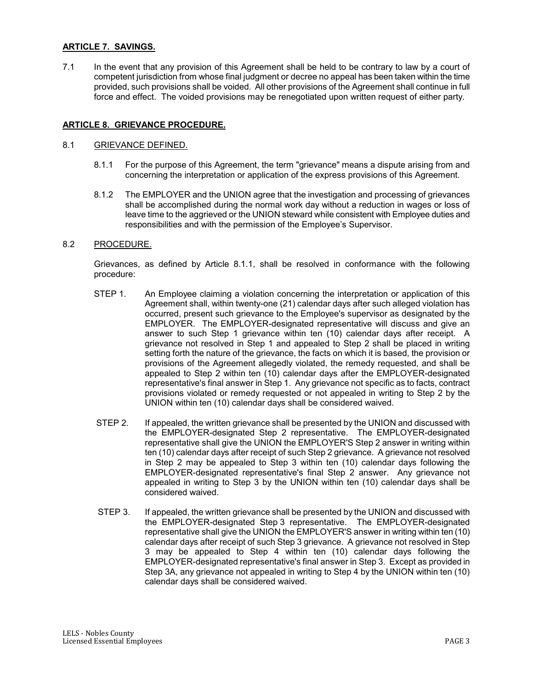# **ARTICLE 7. SAVINGS.**

7.1 In the event that any provision of this Agreement shall be held to be contrary to law by a court of competent jurisdiction from whose final judgment or decree no appeal has been taken within the time provided, such provisions shall be voided. All other provisions of the Agreement shall continue in full force and effect. The voided provisions may be renegotiated upon written request of either party.

# **ARTICLE 8. GRIEVANCE PROCEDURE.**

### 8.1 GRIEVANCE DEFINED.

- 8.1.1 For the purpose of this Agreement, the term "grievance" means a dispute arising from and concerning the interpretation or application of the express provisions of this Agreement.
- 8.1.2 The EMPLOYER and the UNION agree that the investigation and processing of grievances shall be accomplished during the normal work day without a reduction in wages or loss of leave time to the aggrieved or the UNION steward while consistent with Employee duties and responsibilities and with the permission of the Employee's Supervisor.

### 8.2 PROCEDURE.

Grievances, as defined by Article 8.1.1, shall be resolved in conformance with the following procedure:

- STEP 1. An Employee claiming a violation concerning the interpretation or application of this Agreement shall, within twenty-one (21) calendar days after such alleged violation has occurred, present such grievance to the Employee's supervisor as designated by the EMPLOYER. The EMPLOYER-designated representative will discuss and give an answer to such Step 1 grievance within ten (10) calendar days after receipt. A grievance not resolved in Step 1 and appealed to Step 2 shall be placed in writing setting forth the nature of the grievance, the facts on which it is based, the provision or provisions of the Agreement allegedly violated, the remedy requested, and shall be appealed to Step 2 within ten (10) calendar days after the EMPLOYER-designated representative's final answer in Step 1. Any grievance not specific as to facts, contract provisions violated or remedy requested or not appealed in writing to Step 2 by the UNION within ten (10) calendar days shall be considered waived.
- STEP 2. If appealed, the written grievance shall be presented by the UNION and discussed with the EMPLOYER-designated Step 2 representative. The EMPLOYER-designated representative shall give the UNION the EMPLOYER'S Step 2 answer in writing within ten (10) calendar days after receipt of such Step 2 grievance. A grievance not resolved in Step 2 may be appealed to Step 3 within ten (10) calendar days following the EMPLOYER-designated representative's final Step 2 answer. Any grievance not appealed in writing to Step 3 by the UNION within ten (10) calendar days shall be considered waived.
- STEP 3. If appealed, the written grievance shall be presented by the UNION and discussed with the EMPLOYER-designated Step 3 representative. The EMPLOYER-designated representative shall give the UNION the EMPLOYER'S answer in writing within ten (10) calendar days after receipt of such Step 3 grievance. A grievance not resolved in Step 3 may be appealed to Step 4 within ten (10) calendar days following the EMPLOYER-designated representative's final answer in Step 3. Except as provided in Step 3A, any grievance not appealed in writing to Step 4 by the UNION within ten (10) calendar days shall be considered waived.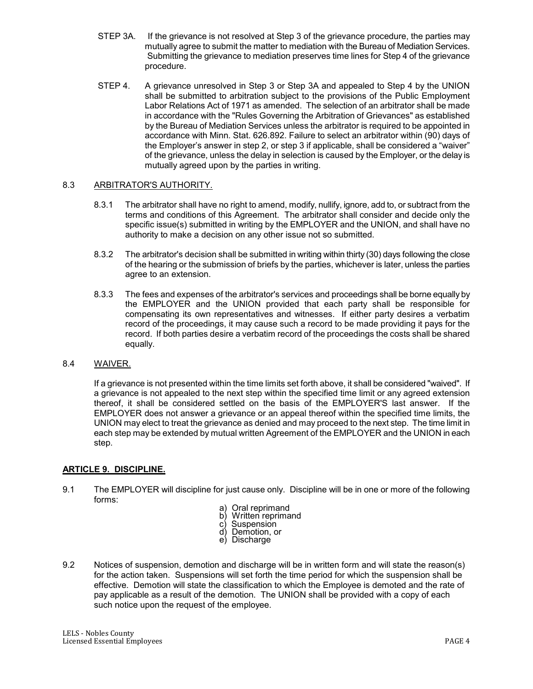- STEP 3A. If the grievance is not resolved at Step 3 of the grievance procedure, the parties may mutually agree to submit the matter to mediation with the Bureau of Mediation Services. Submitting the grievance to mediation preserves time lines for Step 4 of the grievance procedure.
- STEP 4. A grievance unresolved in Step 3 or Step 3A and appealed to Step 4 by the UNION shall be submitted to arbitration subject to the provisions of the Public Employment Labor Relations Act of 1971 as amended. The selection of an arbitrator shall be made in accordance with the "Rules Governing the Arbitration of Grievances" as established by the Bureau of Mediation Services unless the arbitrator is required to be appointed in accordance with Minn. Stat. 626.892. Failure to select an arbitrator within (90) days of the Employer's answer in step 2, or step 3 if applicable, shall be considered a "waiver" of the grievance, unless the delay in selection is caused by the Employer, or the delay is mutually agreed upon by the parties in writing.

# 8.3 ARBITRATOR'S AUTHORITY.

- 8.3.1 The arbitrator shall have no right to amend, modify, nullify, ignore, add to, or subtract from the terms and conditions of this Agreement. The arbitrator shall consider and decide only the specific issue(s) submitted in writing by the EMPLOYER and the UNION, and shall have no authority to make a decision on any other issue not so submitted.
- 8.3.2 The arbitrator's decision shall be submitted in writing within thirty (30) days following the close of the hearing or the submission of briefs by the parties, whichever is later, unless the parties agree to an extension.
- 8.3.3 The fees and expenses of the arbitrator's services and proceedings shall be borne equally by the EMPLOYER and the UNION provided that each party shall be responsible for compensating its own representatives and witnesses. If either party desires a verbatim record of the proceedings, it may cause such a record to be made providing it pays for the record. If both parties desire a verbatim record of the proceedings the costs shall be shared equally.

# 8.4 WAIVER.

If a grievance is not presented within the time limits set forth above, it shall be considered "waived". If a grievance is not appealed to the next step within the specified time limit or any agreed extension thereof, it shall be considered settled on the basis of the EMPLOYER'S last answer. If the EMPLOYER does not answer a grievance or an appeal thereof within the specified time limits, the UNION may elect to treat the grievance as denied and may proceed to the next step. The time limit in each step may be extended by mutual written Agreement of the EMPLOYER and the UNION in each step.

### **ARTICLE 9. DISCIPLINE.**

- 9.1 The EMPLOYER will discipline for just cause only. Discipline will be in one or more of the following forms:
	- a) Oral reprimand
	- b) Written reprimand<br>c) Suspension
	- c) Suspension<br>d) Demotion, o
	- Demotion, or
	- e) Discharge
- 9.2 Notices of suspension, demotion and discharge will be in written form and will state the reason(s) for the action taken. Suspensions will set forth the time period for which the suspension shall be effective. Demotion will state the classification to which the Employee is demoted and the rate of pay applicable as a result of the demotion. The UNION shall be provided with a copy of each such notice upon the request of the employee.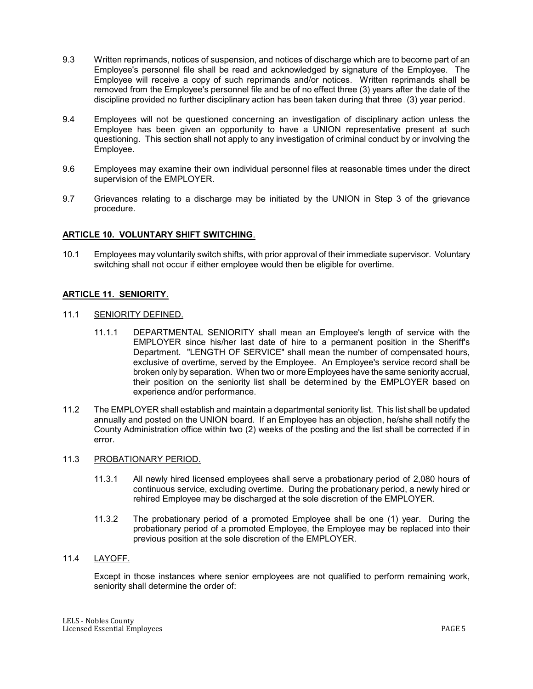- 9.3 Written reprimands, notices of suspension, and notices of discharge which are to become part of an Employee's personnel file shall be read and acknowledged by signature of the Employee. The Employee will receive a copy of such reprimands and/or notices. Written reprimands shall be removed from the Employee's personnel file and be of no effect three (3) years after the date of the discipline provided no further disciplinary action has been taken during that three (3) year period.
- 9.4 Employees will not be questioned concerning an investigation of disciplinary action unless the Employee has been given an opportunity to have a UNION representative present at such questioning. This section shall not apply to any investigation of criminal conduct by or involving the Employee.
- 9.6 Employees may examine their own individual personnel files at reasonable times under the direct supervision of the EMPLOYER.
- 9.7 Grievances relating to a discharge may be initiated by the UNION in Step 3 of the grievance procedure.

## **ARTICLE 10. VOLUNTARY SHIFT SWITCHING**.

10.1 Employees may voluntarily switch shifts, with prior approval of their immediate supervisor. Voluntary switching shall not occur if either employee would then be eligible for overtime.

## **ARTICLE 11. SENIORITY**.

- 11.1 SENIORITY DEFINED.
	- 11.1.1 DEPARTMENTAL SENIORITY shall mean an Employee's length of service with the EMPLOYER since his/her last date of hire to a permanent position in the Sheriff's Department. "LENGTH OF SERVICE" shall mean the number of compensated hours, exclusive of overtime, served by the Employee. An Employee's service record shall be broken only by separation. When two or more Employees have the same seniority accrual, their position on the seniority list shall be determined by the EMPLOYER based on experience and/or performance.
- 11.2 The EMPLOYER shall establish and maintain a departmental seniority list. This list shall be updated annually and posted on the UNION board. If an Employee has an objection, he/she shall notify the County Administration office within two (2) weeks of the posting and the list shall be corrected if in error.

### 11.3 PROBATIONARY PERIOD.

- 11.3.1 All newly hired licensed employees shall serve a probationary period of 2,080 hours of continuous service, excluding overtime. During the probationary period, a newly hired or rehired Employee may be discharged at the sole discretion of the EMPLOYER.
- 11.3.2 The probationary period of a promoted Employee shall be one (1) year. During the probationary period of a promoted Employee, the Employee may be replaced into their previous position at the sole discretion of the EMPLOYER.

### 11.4 LAYOFF.

Except in those instances where senior employees are not qualified to perform remaining work, seniority shall determine the order of: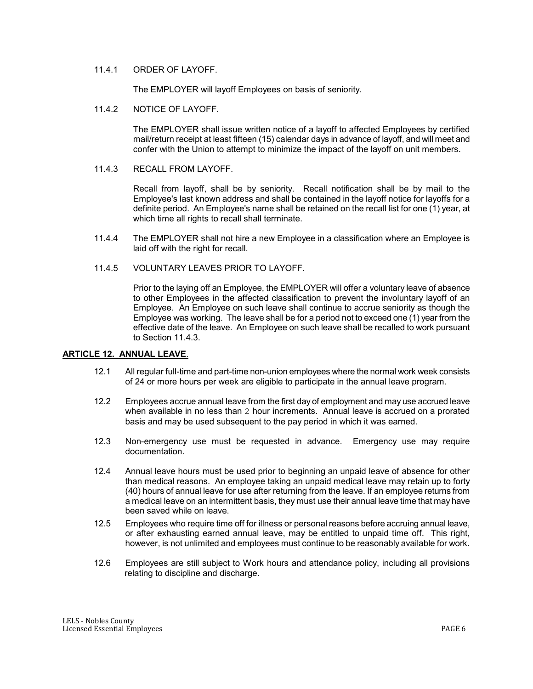### 11.4.1 ORDER OF LAYOFF.

The EMPLOYER will layoff Employees on basis of seniority.

11.4.2 NOTICE OF LAYOFF.

The EMPLOYER shall issue written notice of a layoff to affected Employees by certified mail/return receipt at least fifteen (15) calendar days in advance of layoff, and will meet and confer with the Union to attempt to minimize the impact of the layoff on unit members.

11.4.3 RECALL FROM LAYOFF.

Recall from layoff, shall be by seniority. Recall notification shall be by mail to the Employee's last known address and shall be contained in the layoff notice for layoffs for a definite period. An Employee's name shall be retained on the recall list for one (1) year, at which time all rights to recall shall terminate.

- 11.4.4 The EMPLOYER shall not hire a new Employee in a classification where an Employee is laid off with the right for recall.
- 11.4.5 VOLUNTARY LEAVES PRIOR TO LAYOFF.

Prior to the laying off an Employee, the EMPLOYER will offer a voluntary leave of absence to other Employees in the affected classification to prevent the involuntary layoff of an Employee. An Employee on such leave shall continue to accrue seniority as though the Employee was working. The leave shall be for a period not to exceed one (1) year from the effective date of the leave. An Employee on such leave shall be recalled to work pursuant to Section 11.4.3.

### **ARTICLE 12. ANNUAL LEAVE**.

- 12.1 All regular full-time and part-time non-union employees where the normal work week consists of 24 or more hours per week are eligible to participate in the annual leave program.
- 12.2 Employees accrue annual leave from the first day of employment and may use accrued leave when available in no less than 2 hour increments. Annual leave is accrued on a prorated basis and may be used subsequent to the pay period in which it was earned.
- 12.3 Non-emergency use must be requested in advance. Emergency use may require documentation.
- 12.4 Annual leave hours must be used prior to beginning an unpaid leave of absence for other than medical reasons. An employee taking an unpaid medical leave may retain up to forty (40) hours of annual leave for use after returning from the leave. If an employee returns from a medical leave on an intermittent basis, they must use their annual leave time that may have been saved while on leave.
- 12.5 Employees who require time off for illness or personal reasons before accruing annual leave, or after exhausting earned annual leave, may be entitled to unpaid time off. This right, however, is not unlimited and employees must continue to be reasonably available for work.
- 12.6 Employees are still subject to Work hours and attendance policy, including all provisions relating to discipline and discharge.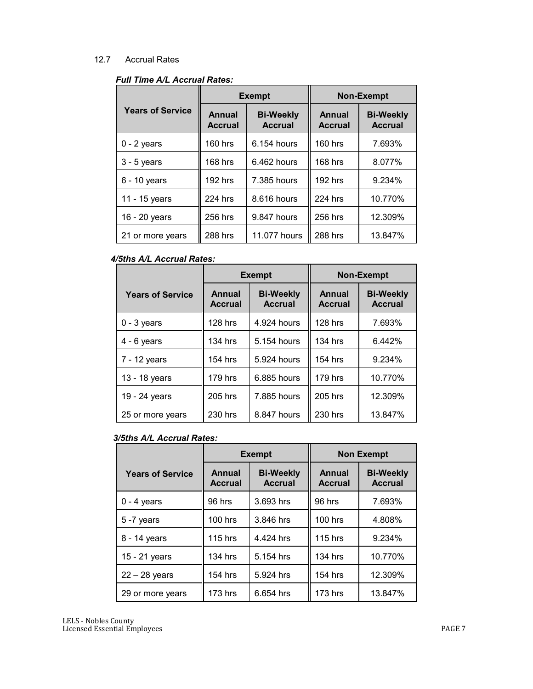# 12.7 Accrual Rates

|                         |                                                                       | <b>Exempt</b> | <b>Non-Exempt</b>               |                                    |  |  |
|-------------------------|-----------------------------------------------------------------------|---------------|---------------------------------|------------------------------------|--|--|
| <b>Years of Service</b> | <b>Annual</b><br><b>Bi-Weekly</b><br><b>Accrual</b><br><b>Accrual</b> |               | <b>Annual</b><br><b>Accrual</b> | <b>Bi-Weekly</b><br><b>Accrual</b> |  |  |
| $0 - 2$ years           | 160 hrs                                                               | 6.154 hours   | $160$ hrs                       | 7.693%                             |  |  |
| $3 - 5$ years           | 168 hrs                                                               | 6.462 hours   | 168 hrs                         | 8.077%                             |  |  |
| $6 - 10$ years          | 192 hrs                                                               | 7.385 hours   | 192 hrs                         | 9.234%                             |  |  |
| 11 - 15 years           | 224 hrs                                                               | 8.616 hours   | 224 hrs                         | 10.770%                            |  |  |
| 16 - 20 years           | 256 hrs                                                               | 9.847 hours   | 256 hrs                         | 12.309%                            |  |  |
| 21 or more years        | 288 hrs                                                               | 11.077 hours  | 288 hrs                         | 13.847%                            |  |  |

# *4/5ths A/L Accrual Rates:*

|                         |                          | <b>Exempt</b>                      | <b>Non-Exempt</b>               |                                    |  |  |
|-------------------------|--------------------------|------------------------------------|---------------------------------|------------------------------------|--|--|
| <b>Years of Service</b> | Annual<br><b>Accrual</b> | <b>Bi-Weekly</b><br><b>Accrual</b> | <b>Annual</b><br><b>Accrual</b> | <b>Bi-Weekly</b><br><b>Accrual</b> |  |  |
| $0 - 3$ years           | 128 hrs                  | 4.924 hours                        | 128 hrs                         | 7.693%                             |  |  |
| $4 - 6$ years           | 134 hrs                  | 5.154 hours                        | 134 hrs                         | 6.442%                             |  |  |
| 7 - 12 years            | 154 hrs                  | 5.924 hours                        | 154 hrs                         | 9.234%                             |  |  |
| 13 - 18 years           | 179 hrs                  | 6.885 hours                        | 179 hrs                         | 10.770%                            |  |  |
| 19 - 24 years           | 205 hrs                  | 7.885 hours                        | 205 hrs                         | 12.309%                            |  |  |
| 25 or more years        | 230 hrs                  | 8.847 hours                        |                                 | 13.847%                            |  |  |

# *3/5ths A/L Accrual Rates:*

|                         |                                 | <b>Exempt</b>                      | <b>Non Exempt</b>               |                                    |  |  |
|-------------------------|---------------------------------|------------------------------------|---------------------------------|------------------------------------|--|--|
| <b>Years of Service</b> | <b>Annual</b><br><b>Accrual</b> | <b>Bi-Weekly</b><br><b>Accrual</b> | <b>Annual</b><br><b>Accrual</b> | <b>Bi-Weekly</b><br><b>Accrual</b> |  |  |
| $0 - 4$ years           | 96 hrs                          | 3.693 hrs                          | 96 hrs                          | 7.693%                             |  |  |
| 5-7 years               | <b>100 hrs</b>                  | 3.846 hrs                          | <b>100 hrs</b>                  | 4.808%                             |  |  |
| 8 - 14 years            | <b>115 hrs</b>                  | 4.424 hrs                          | <b>115 hrs</b>                  | 9.234%                             |  |  |
| 15 - 21 years           | 134 hrs                         | 5.154 hrs                          | 134 hrs                         | 10.770%                            |  |  |
| $22 - 28$ years         | 154 hrs                         | 5.924 hrs                          | 154 hrs                         | 12.309%                            |  |  |
| 29 or more years        | <b>173 hrs</b>                  | 6.654 hrs                          | <b>173 hrs</b>                  | 13.847%                            |  |  |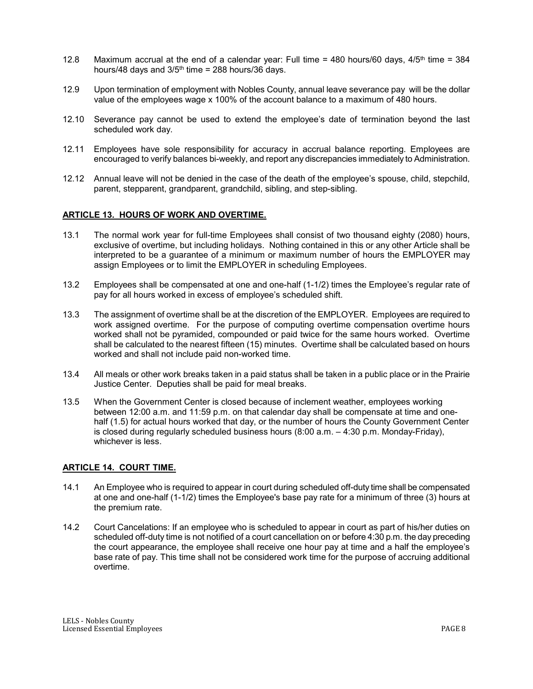- 12.8 Maximum accrual at the end of a calendar year: Full time = 480 hours/60 days,  $4/5$ <sup>th</sup> time = 384 hours/48 days and  $3/5<sup>th</sup>$  time = 288 hours/36 days.
- 12.9 Upon termination of employment with Nobles County, annual leave severance pay will be the dollar value of the employees wage x 100% of the account balance to a maximum of 480 hours.
- 12.10 Severance pay cannot be used to extend the employee's date of termination beyond the last scheduled work day.
- 12.11 Employees have sole responsibility for accuracy in accrual balance reporting. Employees are encouraged to verify balances bi-weekly, and report any discrepancies immediately to Administration.
- 12.12 Annual leave will not be denied in the case of the death of the employee's spouse, child, stepchild, parent, stepparent, grandparent, grandchild, sibling, and step-sibling.

## **ARTICLE 13. HOURS OF WORK AND OVERTIME.**

- 13.1 The normal work year for full-time Employees shall consist of two thousand eighty (2080) hours, exclusive of overtime, but including holidays. Nothing contained in this or any other Article shall be interpreted to be a guarantee of a minimum or maximum number of hours the EMPLOYER may assign Employees or to limit the EMPLOYER in scheduling Employees.
- 13.2 Employees shall be compensated at one and one-half (1-1/2) times the Employee's regular rate of pay for all hours worked in excess of employee's scheduled shift.
- 13.3 The assignment of overtime shall be at the discretion of the EMPLOYER. Employees are required to work assigned overtime. For the purpose of computing overtime compensation overtime hours worked shall not be pyramided, compounded or paid twice for the same hours worked. Overtime shall be calculated to the nearest fifteen (15) minutes. Overtime shall be calculated based on hours worked and shall not include paid non-worked time.
- 13.4 All meals or other work breaks taken in a paid status shall be taken in a public place or in the Prairie Justice Center. Deputies shall be paid for meal breaks.
- 13.5 When the Government Center is closed because of inclement weather, employees working between 12:00 a.m. and 11:59 p.m. on that calendar day shall be compensate at time and onehalf (1.5) for actual hours worked that day, or the number of hours the County Government Center is closed during regularly scheduled business hours  $(8:00 \text{ a.m.} - 4:30 \text{ p.m.} \text{ Monday-Friday})$ , whichever is less.

### **ARTICLE 14. COURT TIME.**

- 14.1 An Employee who is required to appear in court during scheduled off-duty time shall be compensated at one and one-half (1-1/2) times the Employee's base pay rate for a minimum of three (3) hours at the premium rate.
- 14.2 Court Cancelations: If an employee who is scheduled to appear in court as part of his/her duties on scheduled off-duty time is not notified of a court cancellation on or before 4:30 p.m. the day preceding the court appearance, the employee shall receive one hour pay at time and a half the employee's base rate of pay. This time shall not be considered work time for the purpose of accruing additional overtime.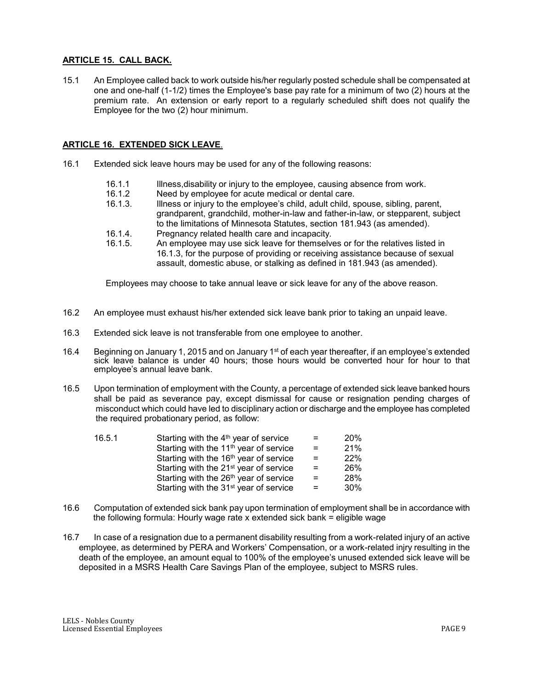# **ARTICLE 15. CALL BACK.**

15.1 An Employee called back to work outside his/her regularly posted schedule shall be compensated at one and one-half (1-1/2) times the Employee's base pay rate for a minimum of two (2) hours at the premium rate. An extension or early report to a regularly scheduled shift does not qualify the Employee for the two (2) hour minimum.

### **ARTICLE 16. EXTENDED SICK LEAVE**.

- 16.1 Extended sick leave hours may be used for any of the following reasons:
	- 16.1.1 Illness,disability or injury to the employee, causing absence from work.
	- 16.1.2 Need by employee for acute medical or dental care.
	- 16.1.3. Illness or injury to the employee's child, adult child, spouse, sibling, parent, grandparent, grandchild, mother-in-law and father-in-law, or stepparent, subject to the limitations of Minnesota Statutes, section 181.943 (as amended).
	- 16.1.4. Pregnancy related health care and incapacity.
	- 16.1.5. An employee may use sick leave for themselves or for the relatives listed in 16.1.3, for the purpose of providing or receiving assistance because of sexual assault, domestic abuse, or stalking as defined in 181.943 (as amended).

Employees may choose to take annual leave or sick leave for any of the above reason.

- 16.2 An employee must exhaust his/her extended sick leave bank prior to taking an unpaid leave.
- 16.3 Extended sick leave is not transferable from one employee to another.
- 16.4 Beginning on January 1, 2015 and on January 1<sup>st</sup> of each year thereafter, if an employee's extended sick leave balance is under 40 hours; those hours would be converted hour for hour to that employee's annual leave bank.
- 16.5 Upon termination of employment with the County, a percentage of extended sick leave banked hours shall be paid as severance pay, except dismissal for cause or resignation pending charges of misconduct which could have led to disciplinary action or discharge and the employee has completed the required probationary period, as follow:

| 16.5.1 | Starting with the 4 <sup>th</sup> year of service  | $=$ | <b>20%</b> |
|--------|----------------------------------------------------|-----|------------|
|        | Starting with the 11 <sup>th</sup> year of service | $=$ | 21%        |
|        | Starting with the 16 <sup>th</sup> year of service | $=$ | 22%        |
|        | Starting with the 21 <sup>st</sup> year of service | $=$ | 26%        |
|        | Starting with the 26 <sup>th</sup> year of service | $=$ | 28%        |
|        | Starting with the 31 <sup>st</sup> year of service |     | 30%        |

- 16.6 Computation of extended sick bank pay upon termination of employment shall be in accordance with the following formula: Hourly wage rate x extended sick bank = eligible wage
- 16.7 In case of a resignation due to a permanent disability resulting from a work-related injury of an active employee, as determined by PERA and Workers' Compensation, or a work-related injry resulting in the death of the employee, an amount equal to 100% of the employee's unused extended sick leave will be deposited in a MSRS Health Care Savings Plan of the employee, subject to MSRS rules.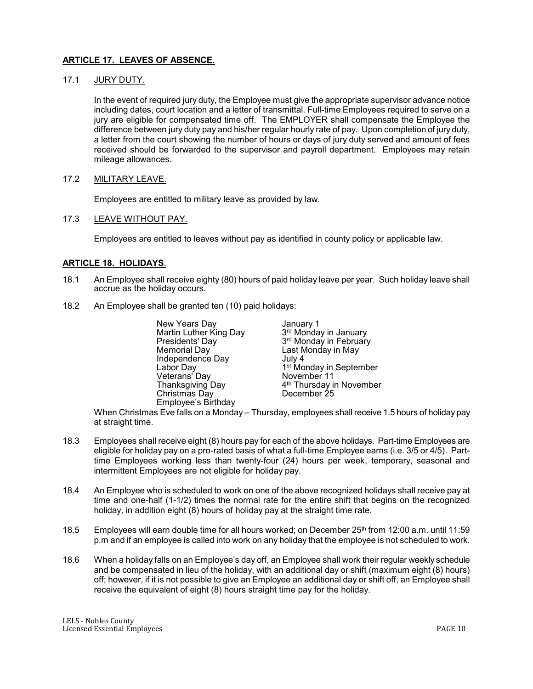# **ARTICLE 17. LEAVES OF ABSENCE**.

### 17.1 JURY DUTY.

In the event of required jury duty, the Employee must give the appropriate supervisor advance notice including dates, court location and a letter of transmittal. Full-time Employees required to serve on a jury are eligible for compensated time off. The EMPLOYER shall compensate the Employee the difference between jury duty pay and his/her regular hourly rate of pay. Upon completion of jury duty, a letter from the court showing the number of hours or days of jury duty served and amount of fees received should be forwarded to the supervisor and payroll department. Employees may retain mileage allowances.

## 17.2 MILITARY LEAVE.

Employees are entitled to military leave as provided by law.

## 17.3 LEAVE WITHOUT PAY.

Employees are entitled to leaves without pay as identified in county policy or applicable law.

## **ARTICLE 18. HOLIDAYS**.

- 18.1 An Employee shall receive eighty (80) hours of paid holiday leave per year. Such holiday leave shall accrue as the holiday occurs.
- 18.2 An Employee shall be granted ten (10) paid holidays:

| New Years Day          | January 1                            |
|------------------------|--------------------------------------|
| Martin Luther King Day | 3rd Monday in January                |
| Presidents' Day        | 3rd Monday in February               |
| <b>Memorial Day</b>    | Last Monday in May                   |
| Independence Day       | July 4                               |
| Labor Day              | 1 <sup>st</sup> Monday in September  |
| Veterans' Day          | November 11                          |
| Thanksgiving Day       | 4 <sup>th</sup> Thursday in November |
| Christmas Day          | December 25                          |
| Employee's Birthday    |                                      |

When Christmas Eve falls on a Monday – Thursday, employees shall receive 1.5 hours of holiday pay at straight time.

- 18.3 Employees shall receive eight (8) hours pay for each of the above holidays. Part-time Employees are eligible for holiday pay on a pro-rated basis of what a full-time Employee earns (i.e. 3/5 or 4/5). Parttime Employees working less than twenty-four (24) hours per week, temporary, seasonal and intermittent Employees are not eligible for holiday pay.
- 18.4 An Employee who is scheduled to work on one of the above recognized holidays shall receive pay at time and one-half (1-1/2) times the normal rate for the entire shift that begins on the recognized holiday, in addition eight (8) hours of holiday pay at the straight time rate.
- 18.5 Employees will earn double time for all hours worked; on December 25<sup>th</sup> from 12:00 a.m. until 11:59 p.m and if an employee is called into work on any holiday that the employee is not scheduled to work.
- 18.6 When a holiday falls on an Employee's day off, an Employee shall work their regular weekly schedule and be compensated in lieu of the holiday, with an additional day or shift (maximum eight (8) hours) off; however, if it is not possible to give an Employee an additional day or shift off, an Employee shall receive the equivalent of eight (8) hours straight time pay for the holiday.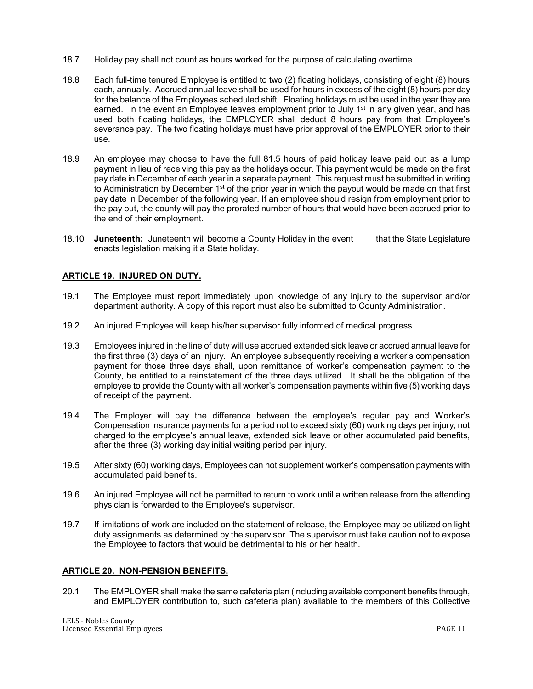- 18.7 Holiday pay shall not count as hours worked for the purpose of calculating overtime.
- 18.8 Each full-time tenured Employee is entitled to two (2) floating holidays, consisting of eight (8) hours each, annually. Accrued annual leave shall be used for hours in excess of the eight (8) hours per day for the balance of the Employees scheduled shift. Floating holidays must be used in the year they are earned. In the event an Employee leaves employment prior to July  $1<sup>st</sup>$  in any given year, and has used both floating holidays, the EMPLOYER shall deduct 8 hours pay from that Employee's severance pay. The two floating holidays must have prior approval of the EMPLOYER prior to their use.
- 18.9 An employee may choose to have the full 81.5 hours of paid holiday leave paid out as a lump payment in lieu of receiving this pay as the holidays occur. This payment would be made on the first pay date in December of each year in a separate payment. This request must be submitted in writing to Administration by December  $1<sup>st</sup>$  of the prior year in which the payout would be made on that first pay date in December of the following year. If an employee should resign from employment prior to the pay out, the county will pay the prorated number of hours that would have been accrued prior to the end of their employment.
- 18.10 **Juneteenth:** Juneteenth will become a County Holiday in the event that the State Legislature enacts legislation making it a State holiday.

# **ARTICLE 19. INJURED ON DUTY.**

- 19.1 The Employee must report immediately upon knowledge of any injury to the supervisor and/or department authority. A copy of this report must also be submitted to County Administration.
- 19.2 An injured Employee will keep his/her supervisor fully informed of medical progress.
- 19.3 Employees injured in the line of duty will use accrued extended sick leave or accrued annual leave for the first three (3) days of an injury. An employee subsequently receiving a worker's compensation payment for those three days shall, upon remittance of worker's compensation payment to the County, be entitled to a reinstatement of the three days utilized. It shall be the obligation of the employee to provide the County with all worker's compensation payments within five (5) working days of receipt of the payment.
- 19.4 The Employer will pay the difference between the employee's regular pay and Worker's Compensation insurance payments for a period not to exceed sixty (60) working days per injury, not charged to the employee's annual leave, extended sick leave or other accumulated paid benefits, after the three (3) working day initial waiting period per injury.
- 19.5 After sixty (60) working days, Employees can not supplement worker's compensation payments with accumulated paid benefits.
- 19.6 An injured Employee will not be permitted to return to work until a written release from the attending physician is forwarded to the Employee's supervisor.
- 19.7 If limitations of work are included on the statement of release, the Employee may be utilized on light duty assignments as determined by the supervisor. The supervisor must take caution not to expose the Employee to factors that would be detrimental to his or her health.

### **ARTICLE 20. NON-PENSION BENEFITS.**

20.1 The EMPLOYER shall make the same cafeteria plan (including available component benefits through, and EMPLOYER contribution to, such cafeteria plan) available to the members of this Collective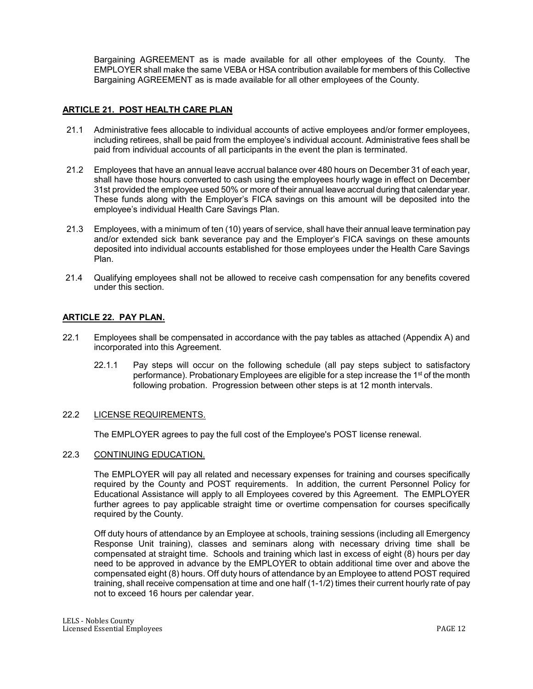Bargaining AGREEMENT as is made available for all other employees of the County. The EMPLOYER shall make the same VEBA or HSA contribution available for members of this Collective Bargaining AGREEMENT as is made available for all other employees of the County.

### **ARTICLE 21. POST HEALTH CARE PLAN**

- 21.1 Administrative fees allocable to individual accounts of active employees and/or former employees, including retirees, shall be paid from the employee's individual account. Administrative fees shall be paid from individual accounts of all participants in the event the plan is terminated.
- 21.2 Employees that have an annual leave accrual balance over 480 hours on December 31 of each year, shall have those hours converted to cash using the employees hourly wage in effect on December 31st provided the employee used 50% or more of their annual leave accrual during that calendar year. These funds along with the Employer's FICA savings on this amount will be deposited into the employee's individual Health Care Savings Plan.
- 21.3 Employees, with a minimum of ten (10) years of service, shall have their annual leave termination pay and/or extended sick bank severance pay and the Employer's FICA savings on these amounts deposited into individual accounts established for those employees under the Health Care Savings Plan.
- 21.4 Qualifying employees shall not be allowed to receive cash compensation for any benefits covered under this section.

### **ARTICLE 22. PAY PLAN.**

- 22.1 Employees shall be compensated in accordance with the pay tables as attached (Appendix A) and incorporated into this Agreement.
	- 22.1.1 Pay steps will occur on the following schedule (all pay steps subject to satisfactory performance). Probationary Employees are eligible for a step increase the 1<sup>st</sup> of the month following probation. Progression between other steps is at 12 month intervals.

### 22.2 LICENSE REQUIREMENTS.

The EMPLOYER agrees to pay the full cost of the Employee's POST license renewal.

### 22.3 CONTINUING EDUCATION.

The EMPLOYER will pay all related and necessary expenses for training and courses specifically required by the County and POST requirements. In addition, the current Personnel Policy for Educational Assistance will apply to all Employees covered by this Agreement. The EMPLOYER further agrees to pay applicable straight time or overtime compensation for courses specifically required by the County.

Off duty hours of attendance by an Employee at schools, training sessions (including all Emergency Response Unit training), classes and seminars along with necessary driving time shall be compensated at straight time. Schools and training which last in excess of eight (8) hours per day need to be approved in advance by the EMPLOYER to obtain additional time over and above the compensated eight (8) hours. Off duty hours of attendance by an Employee to attend POST required training, shall receive compensation at time and one half (1-1/2) times their current hourly rate of pay not to exceed 16 hours per calendar year.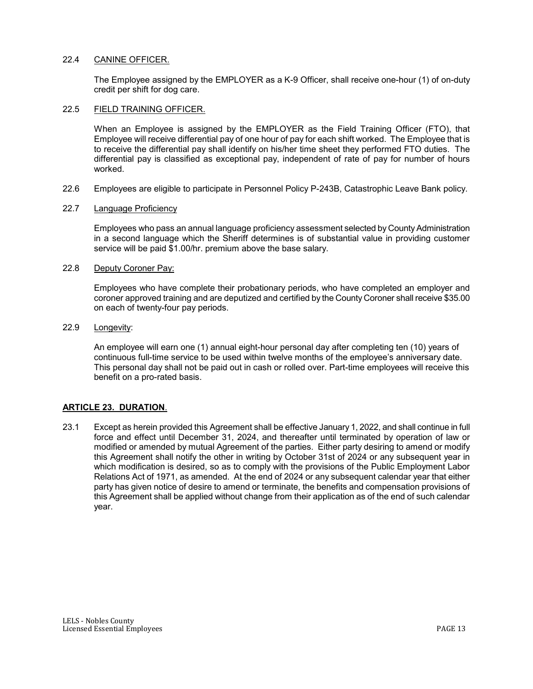#### 22.4 CANINE OFFICER.

The Employee assigned by the EMPLOYER as a K-9 Officer, shall receive one-hour (1) of on-duty credit per shift for dog care.

#### 22.5 FIELD TRAINING OFFICER.

When an Employee is assigned by the EMPLOYER as the Field Training Officer (FTO), that Employee will receive differential pay of one hour of pay for each shift worked. The Employee that is to receive the differential pay shall identify on his/her time sheet they performed FTO duties. The differential pay is classified as exceptional pay, independent of rate of pay for number of hours worked.

22.6 Employees are eligible to participate in Personnel Policy P-243B, Catastrophic Leave Bank policy.

#### 22.7 Language Proficiency

Employees who pass an annual language proficiency assessment selected by County Administration in a second language which the Sheriff determines is of substantial value in providing customer service will be paid \$1.00/hr. premium above the base salary.

### 22.8 Deputy Coroner Pay:

Employees who have complete their probationary periods, who have completed an employer and coroner approved training and are deputized and certified by the County Coroner shall receive \$35.00 on each of twenty-four pay periods.

## 22.9 Longevity:

An employee will earn one (1) annual eight-hour personal day after completing ten (10) years of continuous full-time service to be used within twelve months of the employee's anniversary date. This personal day shall not be paid out in cash or rolled over. Part-time employees will receive this benefit on a pro-rated basis.

### **ARTICLE 23. DURATION**.

23.1 Except as herein provided this Agreement shall be effective January 1, 2022, and shall continue in full force and effect until December 31, 2024, and thereafter until terminated by operation of law or modified or amended by mutual Agreement of the parties. Either party desiring to amend or modify this Agreement shall notify the other in writing by October 31st of 2024 or any subsequent year in which modification is desired, so as to comply with the provisions of the Public Employment Labor Relations Act of 1971, as amended. At the end of 2024 or any subsequent calendar year that either party has given notice of desire to amend or terminate, the benefits and compensation provisions of this Agreement shall be applied without change from their application as of the end of such calendar year.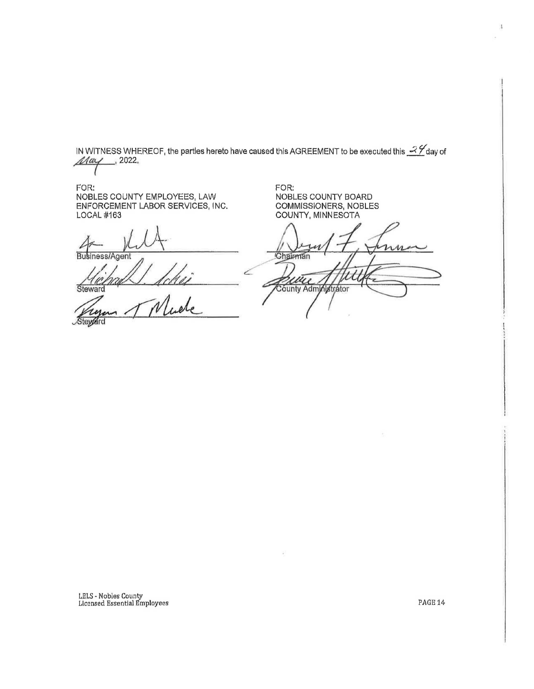IN WITNESS WHEREOF, the parties hereto have caused this AGREEMENT to be executed this  $\mathcal{A}$  day of  $\mathcal{A}a$ y of

FOR: FOR: NOBLES COUNTY EMPLOYEES, LAW NOBLES COUNTY BOARD MOBLES COUNTEMPLOYEES, LAW<br>ENFORCEMENT LABOR SERVICES, INC.<br>LOCAL #163<br>Business/Agent<br>Business/Agent<br>Steward Muche COMMISSIONERS, NOBLES ENFORCEMENT LABOR SERVICES, INC. LOCAL #163 COUNTY, MINNESOTA  $\frac{4}{\text{Bulsiness/Agent}}$ Chairman ши County Administrator **Steward** 

LELS - Nobles County Licensed Essential Employees

PAGE<sub>14</sub>

d.